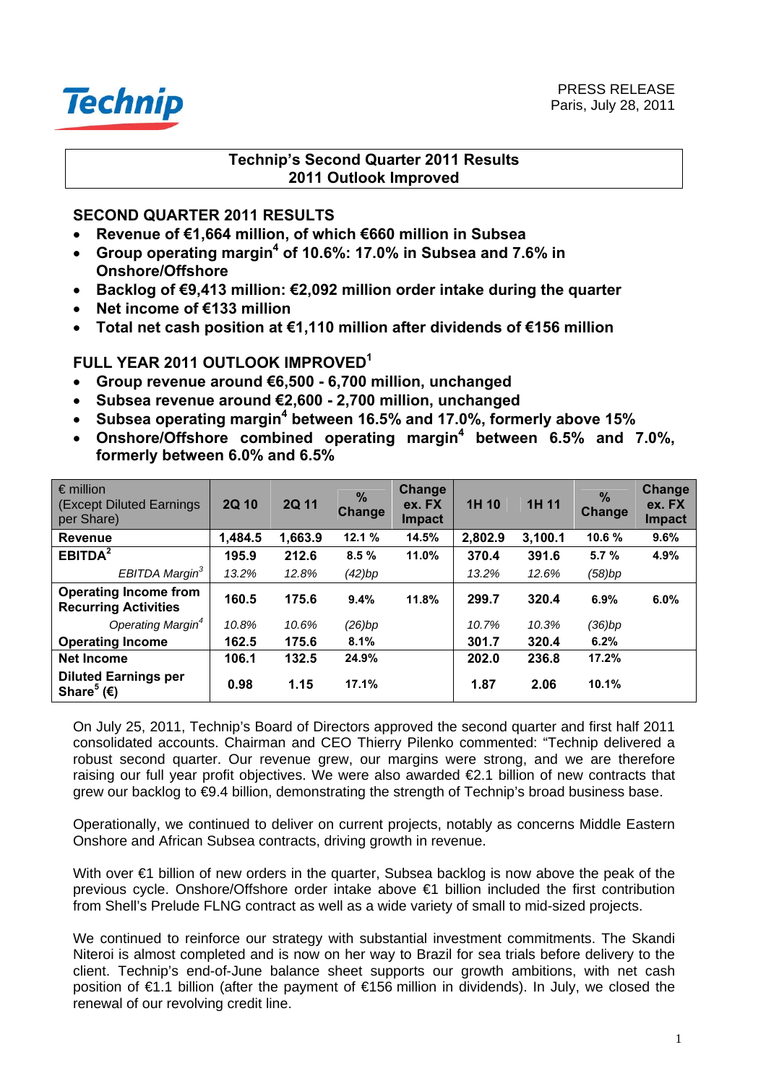

# **Technip's Second Quarter 2011 Results 2011 Outlook Improved**

# **SECOND QUARTER 2011 RESULTS**

- **Revenue of €1,664 million, of which €660 million in Subsea**
- **Group operating margin4 of 10.6%: 17.0% in Subsea and 7.6% in Onshore/Offshore**
- **Backlog of €9,413 million: €2,092 million order intake during the quarter**
- **Net income of €133 million**
- **Total net cash position at €1,110 million after dividends of €156 million**

# **FULL YEAR 2011 OUTLOOK IMPROVED1**

- **Group revenue around €6,500 6,700 million, unchanged**
- **Subsea revenue around €2,600 2,700 million, unchanged**
- **•** Subsea operating margin<sup>4</sup> between 16.5% and 17.0%, formerly above 15%
- Onshore/Offshore combined operating margin<sup>4</sup> between 6.5% and 7.0%, **formerly between 6.0% and 6.5%**

| $\epsilon$ million<br>(Except Diluted Earnings)<br>per Share)    | 2Q 10   | <b>2Q 11</b> | $\frac{9}{6}$<br><b>Change</b> | Change<br>ex. FX<br>Impact | 1H 10   | 1H 11   | $\frac{9}{6}$<br>Change | Change<br>ex. FX<br><b>Impact</b> |
|------------------------------------------------------------------|---------|--------------|--------------------------------|----------------------------|---------|---------|-------------------------|-----------------------------------|
| <b>Revenue</b>                                                   | 1,484.5 | 1,663.9      | 12.1%                          | 14.5%                      | 2,802.9 | 3,100.1 | 10.6 %                  | 9.6%                              |
| EBITDA <sup>2</sup>                                              | 195.9   | 212.6        | 8.5%                           | 11.0%                      | 370.4   | 391.6   | 5.7%                    | 4.9%                              |
| EBITDA Margin <sup>3</sup>                                       | 13.2%   | 12.8%        | (42)bp                         |                            | 13.2%   | 12.6%   | (58)bp                  |                                   |
| <b>Operating Income from</b><br><b>Recurring Activities</b>      | 160.5   | 175.6        | 9.4%                           | 11.8%                      | 299.7   | 320.4   | 6.9%                    | 6.0%                              |
| Operating Margin <sup>4</sup>                                    | 10.8%   | 10.6%        | (26)bp                         |                            | 10.7%   | 10.3%   | (36)bp                  |                                   |
| <b>Operating Income</b>                                          | 162.5   | 175.6        | 8.1%                           |                            | 301.7   | 320.4   | 6.2%                    |                                   |
| <b>Net Income</b>                                                | 106.1   | 132.5        | 24.9%                          |                            | 202.0   | 236.8   | 17.2%                   |                                   |
| <b>Diluted Earnings per</b><br>Share <sup>5</sup> ( $\epsilon$ ) | 0.98    | 1.15         | 17.1%                          |                            | 1.87    | 2.06    | 10.1%                   |                                   |

On July 25, 2011, Technip's Board of Directors approved the second quarter and first half 2011 consolidated accounts. Chairman and CEO Thierry Pilenko commented: "Technip delivered a robust second quarter. Our revenue grew, our margins were strong, and we are therefore raising our full year profit objectives. We were also awarded €2.1 billion of new contracts that grew our backlog to €9.4 billion, demonstrating the strength of Technip's broad business base.

Operationally, we continued to deliver on current projects, notably as concerns Middle Eastern Onshore and African Subsea contracts, driving growth in revenue.

With over €1 billion of new orders in the quarter, Subsea backlog is now above the peak of the previous cycle. Onshore/Offshore order intake above €1 billion included the first contribution from Shell's Prelude FLNG contract as well as a wide variety of small to mid-sized projects.

We continued to reinforce our strategy with substantial investment commitments. The Skandi Niteroi is almost completed and is now on her way to Brazil for sea trials before delivery to the client. Technip's end-of-June balance sheet supports our growth ambitions, with net cash position of €1.1 billion (after the payment of €156 million in dividends). In July, we closed the renewal of our revolving credit line.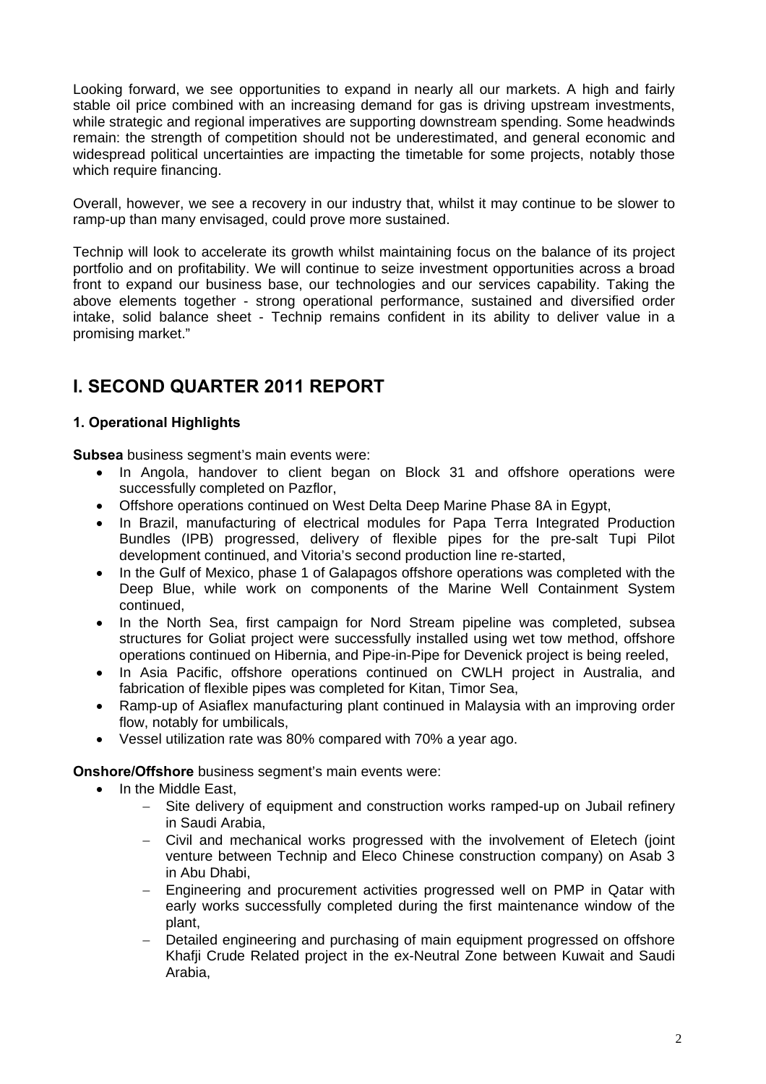Looking forward, we see opportunities to expand in nearly all our markets. A high and fairly stable oil price combined with an increasing demand for gas is driving upstream investments, while strategic and regional imperatives are supporting downstream spending. Some headwinds remain: the strength of competition should not be underestimated, and general economic and widespread political uncertainties are impacting the timetable for some projects, notably those which require financing.

Overall, however, we see a recovery in our industry that, whilst it may continue to be slower to ramp-up than many envisaged, could prove more sustained.

Technip will look to accelerate its growth whilst maintaining focus on the balance of its project portfolio and on profitability. We will continue to seize investment opportunities across a broad front to expand our business base, our technologies and our services capability. Taking the above elements together - strong operational performance, sustained and diversified order intake, solid balance sheet - Technip remains confident in its ability to deliver value in a promising market."

# **I. SECOND QUARTER 2011 REPORT**

# **1. Operational Highlights**

**Subsea** business segment's main events were:

- In Angola, handover to client began on Block 31 and offshore operations were successfully completed on Pazflor,
- Offshore operations continued on West Delta Deep Marine Phase 8A in Egypt,
- In Brazil, manufacturing of electrical modules for Papa Terra Integrated Production Bundles (IPB) progressed, delivery of flexible pipes for the pre-salt Tupi Pilot development continued, and Vitoria's second production line re-started,
- In the Gulf of Mexico, phase 1 of Galapagos offshore operations was completed with the Deep Blue, while work on components of the Marine Well Containment System continued,
- In the North Sea, first campaign for Nord Stream pipeline was completed, subsea structures for Goliat project were successfully installed using wet tow method, offshore operations continued on Hibernia, and Pipe-in-Pipe for Devenick project is being reeled,
- In Asia Pacific, offshore operations continued on CWLH project in Australia, and fabrication of flexible pipes was completed for Kitan, Timor Sea,
- Ramp-up of Asiaflex manufacturing plant continued in Malaysia with an improving order flow, notably for umbilicals,
- Vessel utilization rate was 80% compared with 70% a year ago.

**Onshore/Offshore** business segment's main events were:

- In the Middle East,
	- Site delivery of equipment and construction works ramped-up on Jubail refinery in Saudi Arabia,
	- − Civil and mechanical works progressed with the involvement of Eletech (joint venture between Technip and Eleco Chinese construction company) on Asab 3 in Abu Dhabi,
	- − Engineering and procurement activities progressed well on PMP in Qatar with early works successfully completed during the first maintenance window of the plant,
	- − Detailed engineering and purchasing of main equipment progressed on offshore Khafji Crude Related project in the ex-Neutral Zone between Kuwait and Saudi Arabia,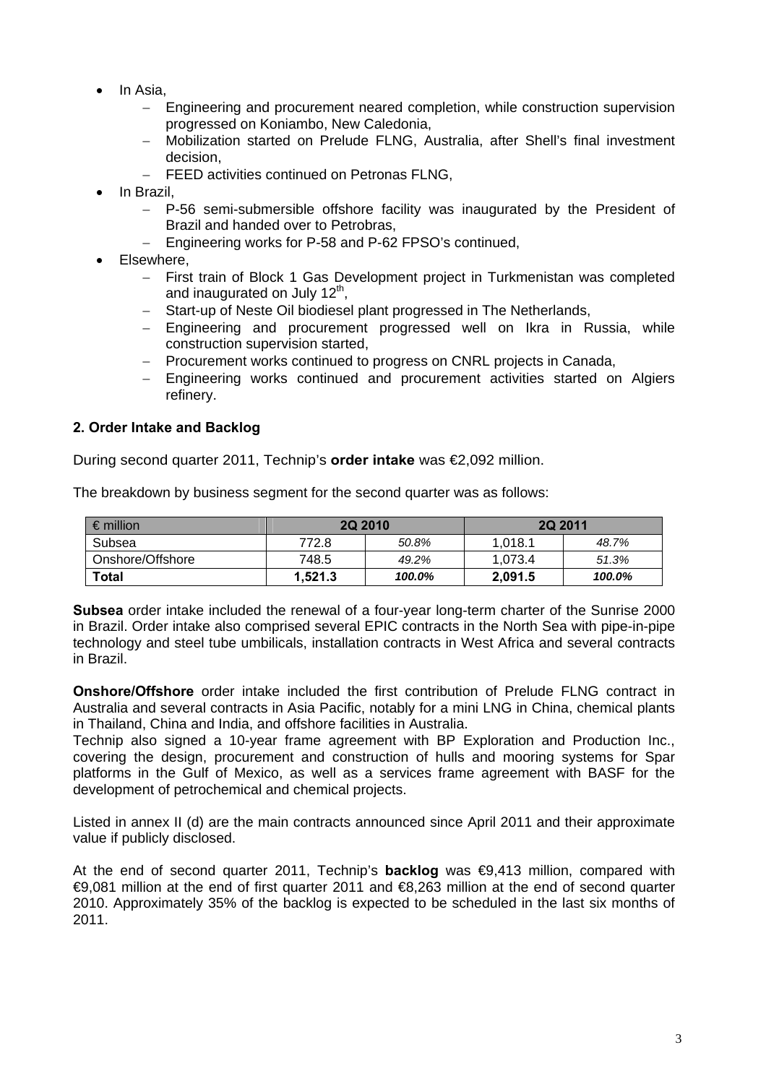- In Asia,
	- − Engineering and procurement neared completion, while construction supervision progressed on Koniambo, New Caledonia,
	- − Mobilization started on Prelude FLNG, Australia, after Shell's final investment decision,
	- − FEED activities continued on Petronas FLNG,
- In Brazil,
	- − P-56 semi-submersible offshore facility was inaugurated by the President of Brazil and handed over to Petrobras,
	- − Engineering works for P-58 and P-62 FPSO's continued,
- Elsewhere,
	- − First train of Block 1 Gas Development project in Turkmenistan was completed and inaugurated on July  $12<sup>th</sup>$ ,
	- − Start-up of Neste Oil biodiesel plant progressed in The Netherlands,
	- − Engineering and procurement progressed well on Ikra in Russia, while construction supervision started,
	- − Procurement works continued to progress on CNRL projects in Canada,
	- − Engineering works continued and procurement activities started on Algiers refinery.

### **2. Order Intake and Backlog**

During second quarter 2011, Technip's **order intake** was €2,092 million.

The breakdown by business segment for the second quarter was as follows:

| $\epsilon$ million | <b>2Q 2010</b> |        | <b>2Q 2011</b> |        |
|--------------------|----------------|--------|----------------|--------|
| Subsea             | 772.8          | 50.8%  | 1.018.1        | 48.7%  |
| Onshore/Offshore   | 748.5          | 49.2%  | 1.073.4        | 51.3%  |
| Total              | 1.521.3        | 100.0% | 2.091.5        | 100.0% |

**Subsea** order intake included the renewal of a four-year long-term charter of the Sunrise 2000 in Brazil. Order intake also comprised several EPIC contracts in the North Sea with pipe-in-pipe technology and steel tube umbilicals, installation contracts in West Africa and several contracts in Brazil.

**Onshore/Offshore** order intake included the first contribution of Prelude FLNG contract in Australia and several contracts in Asia Pacific, notably for a mini LNG in China, chemical plants in Thailand, China and India, and offshore facilities in Australia.

Technip also signed a 10-year frame agreement with BP Exploration and Production Inc., covering the design, procurement and construction of hulls and mooring systems for Spar platforms in the Gulf of Mexico, as well as a services frame agreement with BASF for the development of petrochemical and chemical projects.

Listed in annex II (d) are the main contracts announced since April 2011 and their approximate value if publicly disclosed.

At the end of second quarter 2011, Technip's **backlog** was €9,413 million, compared with €9,081 million at the end of first quarter 2011 and €8,263 million at the end of second quarter 2010. Approximately 35% of the backlog is expected to be scheduled in the last six months of 2011.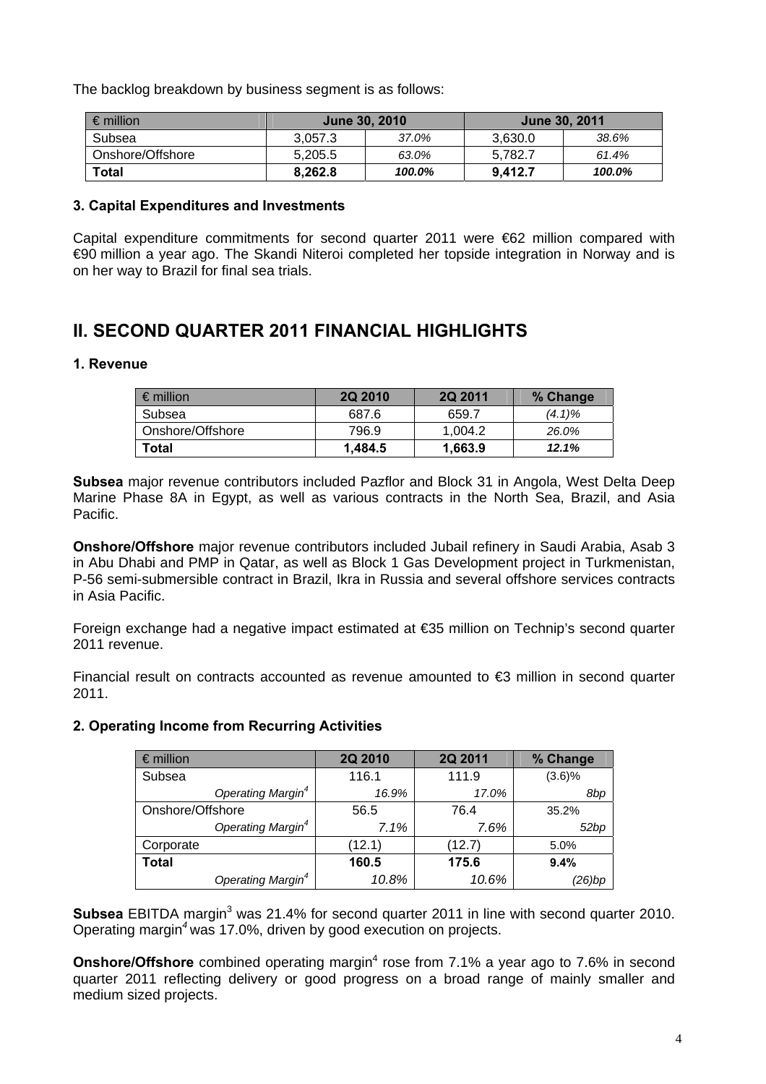The backlog breakdown by business segment is as follows:

| $\epsilon$ million | <b>June 30, 2010</b> |        | June 30, 2011 |        |
|--------------------|----------------------|--------|---------------|--------|
| Subsea             | 3.057.3              | 37.0%  | 3.630.0       | 38.6%  |
| Onshore/Offshore   | 5,205.5              | 63.0%  | 5.782.7       | 61.4%  |
| Total              | 8.262.8              | 100.0% | 9.412.7       | 100.0% |

### **3. Capital Expenditures and Investments**

Capital expenditure commitments for second quarter 2011 were €62 million compared with €90 million a year ago. The Skandi Niteroi completed her topside integration in Norway and is on her way to Brazil for final sea trials.

# **II. SECOND QUARTER 2011 FINANCIAL HIGHLIGHTS**

### **1. Revenue**

| $\vdash \epsilon$ million | <b>2Q 2010</b> | <b>2Q 2011</b> | % Change  |
|---------------------------|----------------|----------------|-----------|
| Subsea                    | 687.6          | 659.7          | $(4.1)\%$ |
| l Onshore/Offshore        | 796.9          | 1.004.2        | 26.0%     |
| Total                     | 1.484.5        | 1.663.9        | 12.1%     |

**Subsea** major revenue contributors included Pazflor and Block 31 in Angola, West Delta Deep Marine Phase 8A in Egypt, as well as various contracts in the North Sea, Brazil, and Asia Pacific.

**Onshore/Offshore** major revenue contributors included Jubail refinery in Saudi Arabia, Asab 3 in Abu Dhabi and PMP in Qatar, as well as Block 1 Gas Development project in Turkmenistan, P-56 semi-submersible contract in Brazil, Ikra in Russia and several offshore services contracts in Asia Pacific.

Foreign exchange had a negative impact estimated at €35 million on Technip's second quarter 2011 revenue.

Financial result on contracts accounted as revenue amounted to €3 million in second quarter 2011.

| $\epsilon$ million            | 2Q 2010 | 2Q 2011 | % Change |
|-------------------------------|---------|---------|----------|
| Subsea                        | 116.1   | 111.9   | (3.6)%   |
| Operating Margin <sup>4</sup> | 16.9%   | 17.0%   | 8bp      |
| Onshore/Offshore              | 56.5    | 76.4    |          |
| Operating Margin <sup>4</sup> | 7.1%    | 7.6%    | 52bp     |
| Corporate                     | (12.1)  | (12.7)  | 5.0%     |
| <b>Total</b>                  | 160.5   | 175.6   | 9.4%     |
| Operating Margin <sup>4</sup> | 10.8%   | 10.6%   | (26)bp   |

# **2. Operating Income from Recurring Activities**

**Subsea** EBITDA margin<sup>3</sup> was 21.4% for second quarter 2011 in line with second quarter 2010. Operating margin*<sup>4</sup>*was 17.0%, driven by good execution on projects.

**Onshore/Offshore** combined operating margin<sup>4</sup> rose from 7.1% a year ago to 7.6% in second quarter 2011 reflecting delivery or good progress on a broad range of mainly smaller and medium sized projects.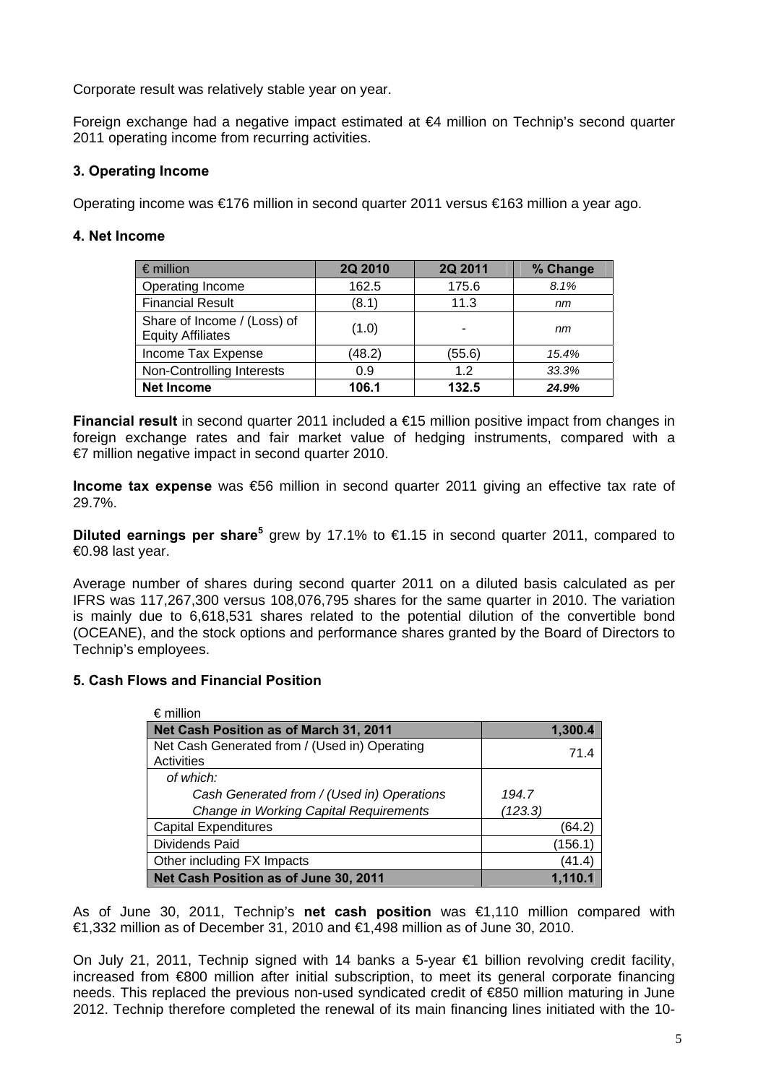Corporate result was relatively stable year on year.

Foreign exchange had a negative impact estimated at €4 million on Technip's second quarter 2011 operating income from recurring activities.

# **3. Operating Income**

Operating income was €176 million in second quarter 2011 versus €163 million a year ago.

## **4. Net Income**

| $\epsilon$ million                                      | 2Q 2010 | 2Q 2011 | % Change |
|---------------------------------------------------------|---------|---------|----------|
| Operating Income                                        | 162.5   | 175.6   | 8.1%     |
| <b>Financial Result</b>                                 | (8.1)   | 11.3    | nm       |
| Share of Income / (Loss) of<br><b>Equity Affiliates</b> | (1.0)   | -       | nm       |
| Income Tax Expense                                      | (48.2)  | (55.6)  | 15.4%    |
| Non-Controlling Interests                               | 0.9     | 1.2     | 33.3%    |
| <b>Net Income</b>                                       | 106.1   | 132.5   | 24.9%    |

**Financial result** in second quarter 2011 included a €15 million positive impact from changes in foreign exchange rates and fair market value of hedging instruments, compared with a €7 million negative impact in second quarter 2010.

**Income tax expense** was €56 million in second quarter 2011 giving an effective tax rate of 29.7%.

**Diluted earnings per share<sup>5</sup> grew by 17.1% to €1.15 in second quarter 2011, compared to** €0.98 last year.

Average number of shares during second quarter 2011 on a diluted basis calculated as per IFRS was 117,267,300 versus 108,076,795 shares for the same quarter in 2010. The variation is mainly due to 6,618,531 shares related to the potential dilution of the convertible bond (OCEANE), and the stock options and performance shares granted by the Board of Directors to Technip's employees.

### **5. Cash Flows and Financial Position**

| $\epsilon$ million                            |         |
|-----------------------------------------------|---------|
| Net Cash Position as of March 31, 2011        | 1,300.4 |
| Net Cash Generated from / (Used in) Operating | 71.4    |
| Activities                                    |         |
| of which:                                     |         |
| Cash Generated from / (Used in) Operations    | 194.7   |
| Change in Working Capital Requirements        | (123.3) |
| <b>Capital Expenditures</b>                   | (64.2)  |
| Dividends Paid                                | (156.1) |
| Other including FX Impacts                    | (41.4)  |
| Net Cash Position as of June 30, 2011         | 1,110.1 |

As of June 30, 2011, Technip's **net cash position** was €1,110 million compared with €1,332 million as of December 31, 2010 and €1,498 million as of June 30, 2010.

On July 21, 2011, Technip signed with 14 banks a 5-year €1 billion revolving credit facility, increased from €800 million after initial subscription, to meet its general corporate financing needs. This replaced the previous non-used syndicated credit of €850 million maturing in June 2012. Technip therefore completed the renewal of its main financing lines initiated with the 10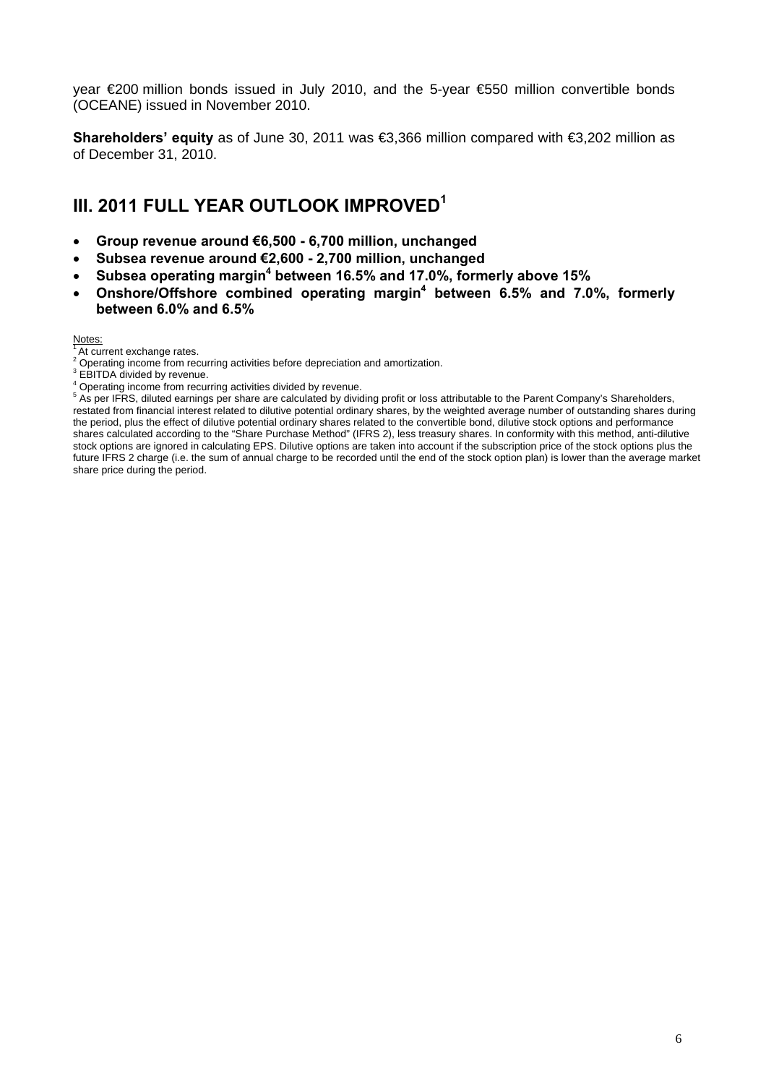year €200 million bonds issued in July 2010, and the 5-year €550 million convertible bonds (OCEANE) issued in November 2010.

**Shareholders' equity** as of June 30, 2011 was €3,366 million compared with €3,202 million as of December 31, 2010.

# **III. 2011 FULL YEAR OUTLOOK IMPROVED<sup>1</sup>**

- **Group revenue around €6,500 6,700 million, unchanged**
- **Subsea revenue around €2,600 2,700 million, unchanged**
- **•** Subsea operating margin<sup>4</sup> between 16.5% and 17.0%, formerly above 15%
- **•** Onshore/Offshore combined operating margin<sup>4</sup> between 6.5% and 7.0%, formerly **between 6.0% and 6.5%**

#### Notes:

At current exchange rates.

- $2^2$  Operating income from recurring activities before depreciation and amortization.<br>3 EPITDA divided by revenue
- <sup>3</sup> EBITDA divided by revenue.

 $^4$  Operating income from recurring activities divided by revenue.

**As per IFRS, diluted earnings per share are calculated by dividing profit or loss attributable to the Parent Company's Shareholders,** restated from financial interest related to dilutive potential ordinary shares, by the weighted average number of outstanding shares during the period, plus the effect of dilutive potential ordinary shares related to the convertible bond, dilutive stock options and performance shares calculated according to the "Share Purchase Method" (IFRS 2), less treasury shares. In conformity with this method, anti-dilutive stock options are ignored in calculating EPS. Dilutive options are taken into account if the subscription price of the stock options plus the future IFRS 2 charge (i.e. the sum of annual charge to be recorded until the end of the stock option plan) is lower than the average market share price during the period.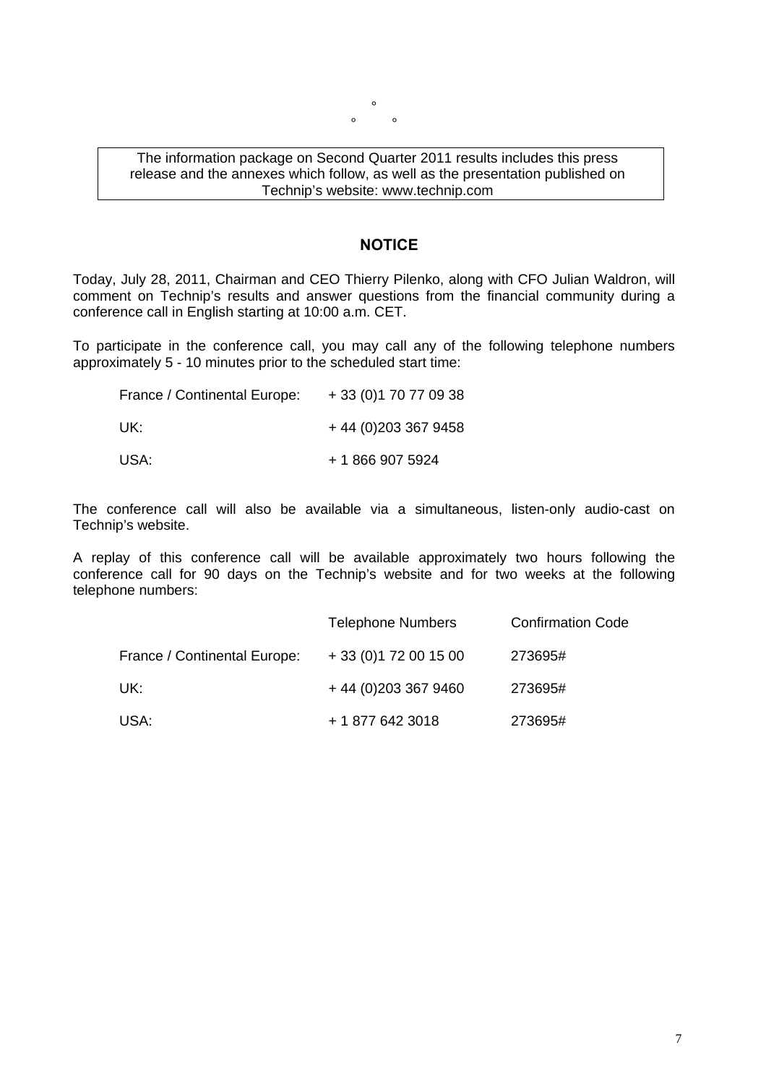$\circ$  $\circ$   $\circ$ 

### The information package on Second Quarter 2011 results includes this press release and the annexes which follow, as well as the presentation published on Technip's website: www.technip.com

### **NOTICE**

Today, July 28, 2011, Chairman and CEO Thierry Pilenko, along with CFO Julian Waldron, will comment on Technip's results and answer questions from the financial community during a conference call in English starting at 10:00 a.m. CET.

To participate in the conference call, you may call any of the following telephone numbers approximately 5 - 10 minutes prior to the scheduled start time:

| France / Continental Europe: | + 33 (0) 1 70 77 09 38 |
|------------------------------|------------------------|
| UK:                          | $+44(0)2033679458$     |
| USA:                         | + 1 866 907 5924       |

The conference call will also be available via a simultaneous, listen-only audio-cast on Technip's website.

A replay of this conference call will be available approximately two hours following the conference call for 90 days on the Technip's website and for two weeks at the following telephone numbers:

|                              | <b>Telephone Numbers</b> | <b>Confirmation Code</b> |
|------------------------------|--------------------------|--------------------------|
| France / Continental Europe: | $+33(0)172001500$        | 273695#                  |
| UK:                          | +44 (0) 203 367 9460     | 273695#                  |
| USA:                         | + 1 877 642 3018         | 273695#                  |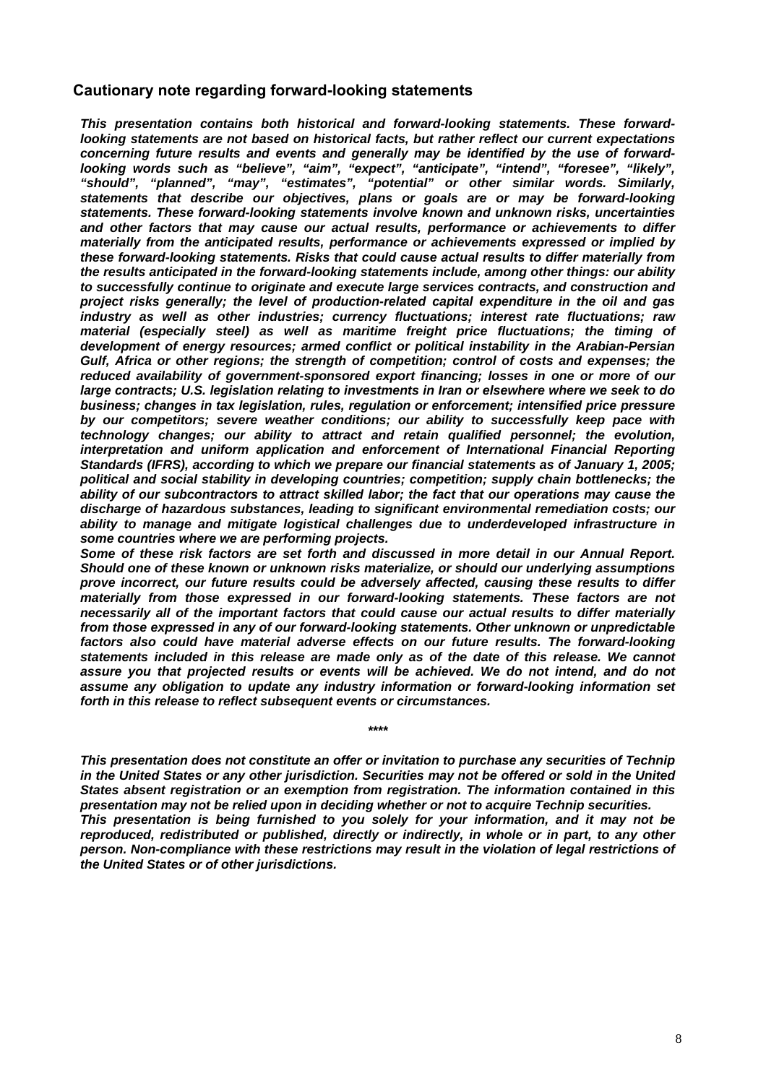### **Cautionary note regarding forward-looking statements**

*This presentation contains both historical and forward-looking statements. These forwardlooking statements are not based on historical facts, but rather reflect our current expectations concerning future results and events and generally may be identified by the use of forwardlooking words such as "believe", "aim", "expect", "anticipate", "intend", "foresee", "likely", "should", "planned", "may", "estimates", "potential" or other similar words. Similarly, statements that describe our objectives, plans or goals are or may be forward-looking statements. These forward-looking statements involve known and unknown risks, uncertainties and other factors that may cause our actual results, performance or achievements to differ materially from the anticipated results, performance or achievements expressed or implied by these forward-looking statements. Risks that could cause actual results to differ materially from the results anticipated in the forward-looking statements include, among other things: our ability to successfully continue to originate and execute large services contracts, and construction and project risks generally; the level of production-related capital expenditure in the oil and gas industry as well as other industries; currency fluctuations; interest rate fluctuations; raw material (especially steel) as well as maritime freight price fluctuations; the timing of development of energy resources; armed conflict or political instability in the Arabian-Persian Gulf, Africa or other regions; the strength of competition; control of costs and expenses; the reduced availability of government-sponsored export financing; losses in one or more of our large contracts; U.S. legislation relating to investments in Iran or elsewhere where we seek to do business; changes in tax legislation, rules, regulation or enforcement; intensified price pressure by our competitors; severe weather conditions; our ability to successfully keep pace with technology changes; our ability to attract and retain qualified personnel; the evolution, interpretation and uniform application and enforcement of International Financial Reporting Standards (IFRS), according to which we prepare our financial statements as of January 1, 2005; political and social stability in developing countries; competition; supply chain bottlenecks; the ability of our subcontractors to attract skilled labor; the fact that our operations may cause the discharge of hazardous substances, leading to significant environmental remediation costs; our ability to manage and mitigate logistical challenges due to underdeveloped infrastructure in some countries where we are performing projects.* 

*Some of these risk factors are set forth and discussed in more detail in our Annual Report. Should one of these known or unknown risks materialize, or should our underlying assumptions prove incorrect, our future results could be adversely affected, causing these results to differ materially from those expressed in our forward-looking statements. These factors are not necessarily all of the important factors that could cause our actual results to differ materially from those expressed in any of our forward-looking statements. Other unknown or unpredictable factors also could have material adverse effects on our future results. The forward-looking statements included in this release are made only as of the date of this release. We cannot*  assure you that projected results or events will be achieved. We do not intend, and do not *assume any obligation to update any industry information or forward-looking information set forth in this release to reflect subsequent events or circumstances.* 

*This presentation does not constitute an offer or invitation to purchase any securities of Technip in the United States or any other jurisdiction. Securities may not be offered or sold in the United States absent registration or an exemption from registration. The information contained in this presentation may not be relied upon in deciding whether or not to acquire Technip securities. This presentation is being furnished to you solely for your information, and it may not be reproduced, redistributed or published, directly or indirectly, in whole or in part, to any other person. Non-compliance with these restrictions may result in the violation of legal restrictions of the United States or of other jurisdictions.* 

*\*\*\*\**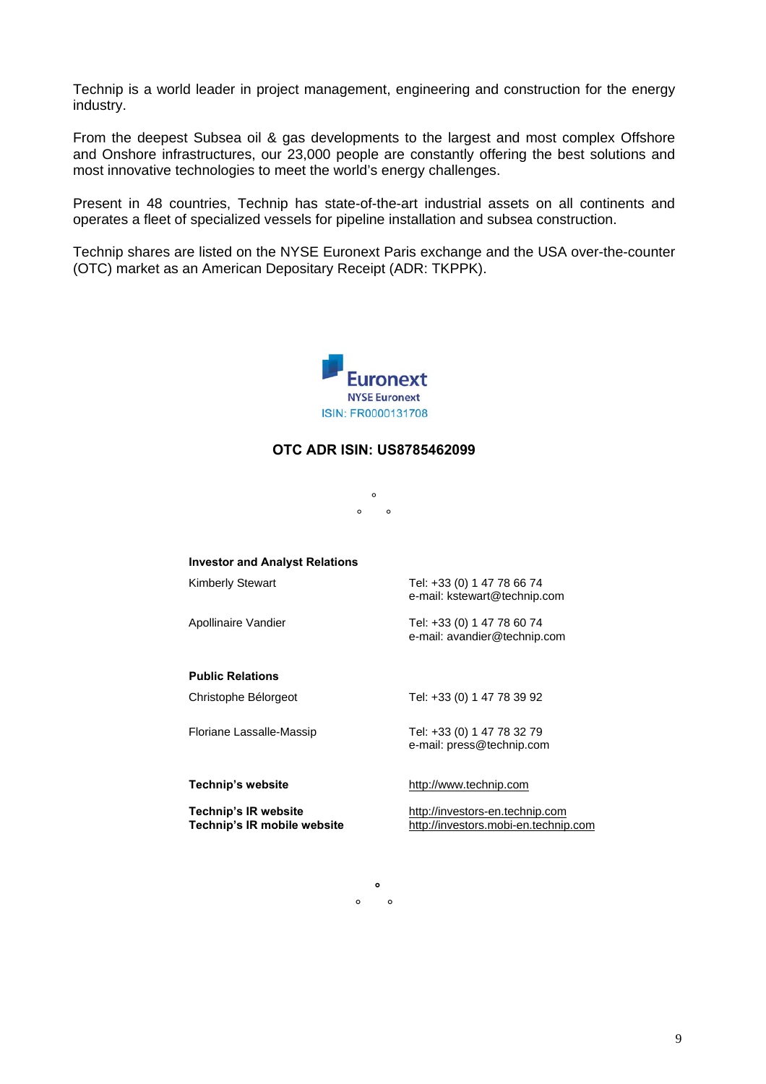Technip is a world leader in project management, engineering and construction for the energy industry.

From the deepest Subsea oil & gas developments to the largest and most complex Offshore and Onshore infrastructures, our 23,000 people are constantly offering the best solutions and most innovative technologies to meet the world's energy challenges.

Present in 48 countries, Technip has state-of-the-art industrial assets on all continents and operates a fleet of specialized vessels for pipeline installation and subsea construction.

Technip shares are listed on the NYSE Euronext Paris exchange and the USA over-the-counter (OTC) market as an American Depositary Receipt (ADR: TKPPK).



### **OTC ADR ISIN: US8785462099**

°  $\circ$   $\circ$ 

| <b>Investor and Analyst Relations</b>               |                                                                         |
|-----------------------------------------------------|-------------------------------------------------------------------------|
| Kimberly Stewart                                    | Tel: +33 (0) 1 47 78 66 74<br>e-mail: kstewart@technip.com              |
| Apollinaire Vandier                                 | Tel: +33 (0) 1 47 78 60 74<br>e-mail: avandier@technip.com              |
| <b>Public Relations</b>                             |                                                                         |
| Christophe Bélorgeot                                | Tel: +33 (0) 1 47 78 39 92                                              |
| Floriane Lassalle-Massip                            | Tel: +33 (0) 1 47 78 32 79<br>e-mail: press@technip.com                 |
| Technip's website                                   | http://www.technip.com                                                  |
| Technip's IR website<br>Technip's IR mobile website | http://investors-en.technip.com<br>http://investors.mobi-en.technip.com |

**°**   $\circ$   $\circ$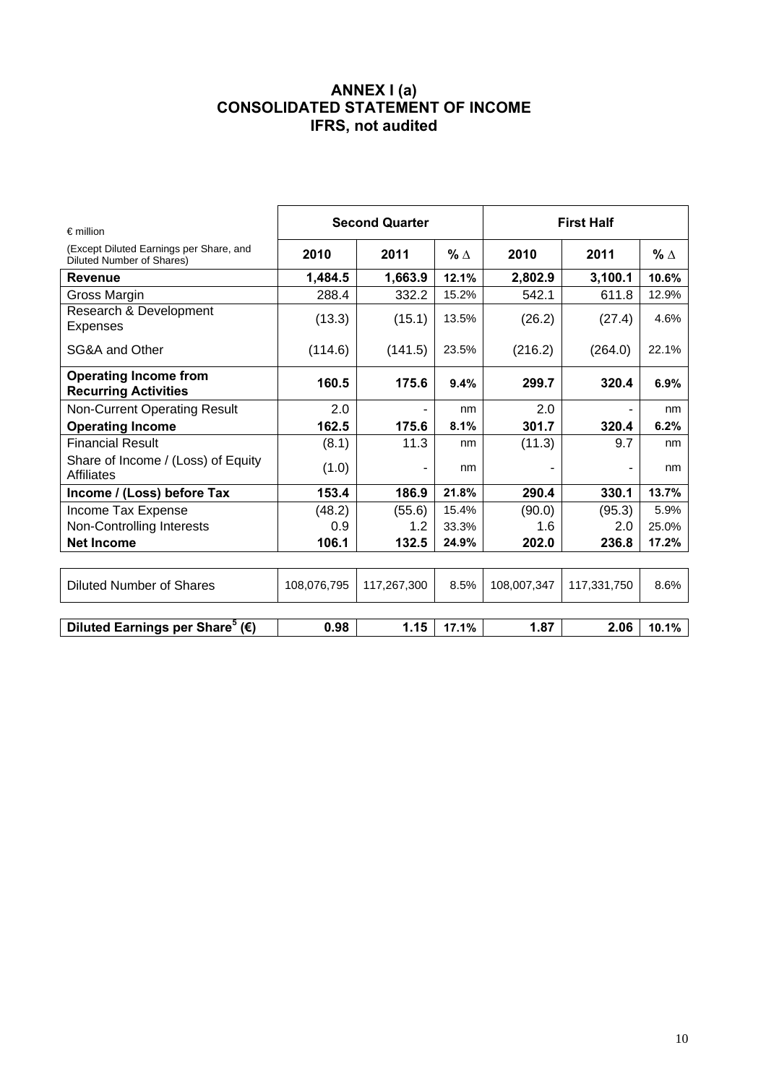# **ANNEX I (a) CONSOLIDATED STATEMENT OF INCOME IFRS, not audited**

| $\epsilon$ million                                                   | <b>Second Quarter</b> |             | <b>First Half</b> |             |             |            |
|----------------------------------------------------------------------|-----------------------|-------------|-------------------|-------------|-------------|------------|
| (Except Diluted Earnings per Share, and<br>Diluted Number of Shares) | 2010                  | 2011        | $% \triangle$     | 2010        | 2011        | $% \Delta$ |
| <b>Revenue</b>                                                       | 1,484.5               | 1,663.9     | 12.1%             | 2,802.9     | 3,100.1     | 10.6%      |
| Gross Margin                                                         | 288.4                 | 332.2       | 15.2%             | 542.1       | 611.8       | 12.9%      |
| Research & Development<br><b>Expenses</b>                            | (13.3)                | (15.1)      | 13.5%             | (26.2)      | (27.4)      | 4.6%       |
| SG&A and Other                                                       | (114.6)               | (141.5)     | 23.5%             | (216.2)     | (264.0)     | 22.1%      |
| <b>Operating Income from</b><br><b>Recurring Activities</b>          | 160.5                 | 175.6       | 9.4%              | 299.7       | 320.4       | 6.9%       |
| <b>Non-Current Operating Result</b>                                  | 2.0                   | ۰           | nm                | 2.0         |             | nm         |
| <b>Operating Income</b>                                              | 162.5                 | 175.6       | 8.1%              | 301.7       | 320.4       | 6.2%       |
| <b>Financial Result</b>                                              | (8.1)                 | 11.3        | nm                | (11.3)      | 9.7         | nm         |
| Share of Income / (Loss) of Equity<br>Affiliates                     | (1.0)                 | ۰           | nm                |             |             | nm         |
| Income / (Loss) before Tax                                           | 153.4                 | 186.9       | 21.8%             | 290.4       | 330.1       | 13.7%      |
| Income Tax Expense                                                   | (48.2)                | (55.6)      | 15.4%             | (90.0)      | (95.3)      | 5.9%       |
| Non-Controlling Interests                                            | 0.9                   | 1.2         | 33.3%             | 1.6         | 2.0         | 25.0%      |
| <b>Net Income</b>                                                    | 106.1                 | 132.5       | 24.9%             | 202.0       | 236.8       | 17.2%      |
|                                                                      |                       |             |                   |             |             |            |
| <b>Diluted Number of Shares</b>                                      | 108,076,795           | 117,267,300 | 8.5%              | 108,007,347 | 117,331,750 | 8.6%       |
|                                                                      |                       |             |                   |             |             |            |
| Diluted Earnings per Share <sup>5</sup> ( $\epsilon$ )               | 0.98                  | 1.15        | 17.1%             | 1.87        | 2.06        | 10.1%      |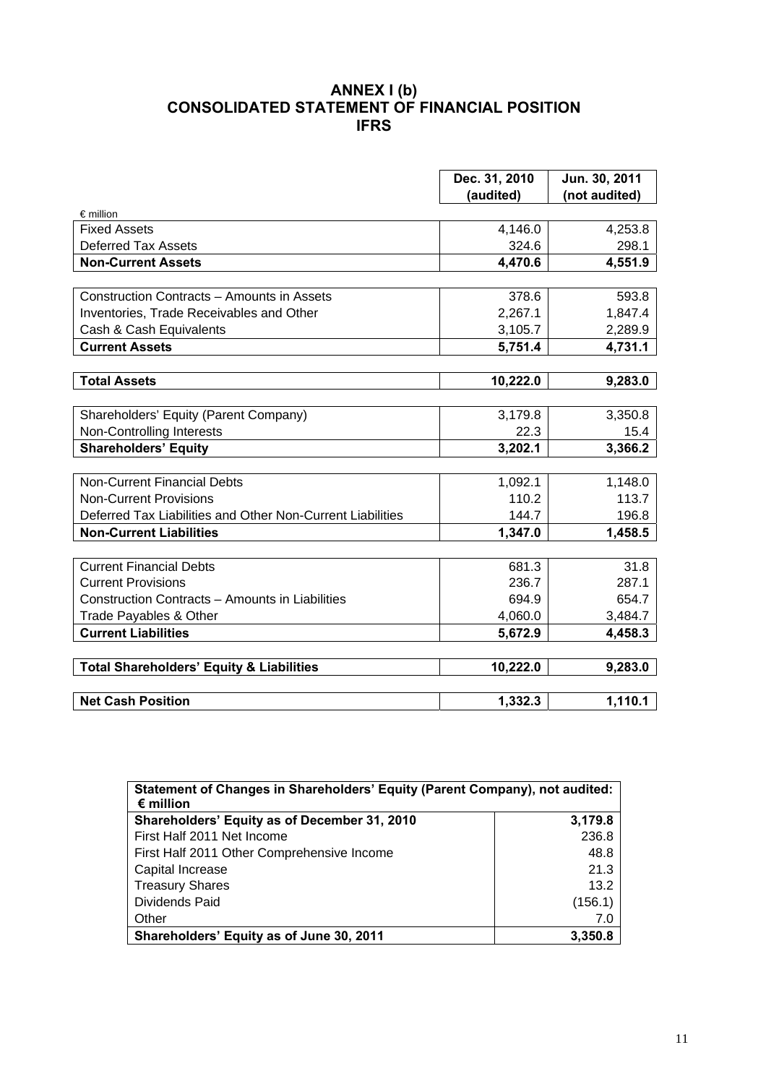# **ANNEX I (b) CONSOLIDATED STATEMENT OF FINANCIAL POSITION IFRS**

|                                                            | Dec. 31, 2010 | Jun. 30, 2011 |
|------------------------------------------------------------|---------------|---------------|
|                                                            | (audited)     | (not audited) |
| $\epsilon$ million                                         |               |               |
| <b>Fixed Assets</b>                                        | 4,146.0       | 4,253.8       |
| <b>Deferred Tax Assets</b>                                 | 324.6         | 298.1         |
| <b>Non-Current Assets</b>                                  | 4,470.6       | 4,551.9       |
|                                                            |               |               |
| Construction Contracts - Amounts in Assets                 | 378.6         | 593.8         |
| Inventories, Trade Receivables and Other                   | 2,267.1       | 1,847.4       |
| Cash & Cash Equivalents                                    | 3,105.7       | 2,289.9       |
| <b>Current Assets</b>                                      | 5,751.4       | 4,731.1       |
|                                                            |               |               |
| <b>Total Assets</b>                                        | 10,222.0      | 9,283.0       |
|                                                            |               |               |
| Shareholders' Equity (Parent Company)                      | 3,179.8       | 3,350.8       |
| Non-Controlling Interests                                  | 22.3          | 15.4          |
| <b>Shareholders' Equity</b>                                | 3,202.1       | 3,366.2       |
| <b>Non-Current Financial Debts</b>                         | 1,092.1       | 1,148.0       |
| <b>Non-Current Provisions</b>                              | 110.2         | 113.7         |
| Deferred Tax Liabilities and Other Non-Current Liabilities | 144.7         | 196.8         |
| <b>Non-Current Liabilities</b>                             | 1,347.0       | 1,458.5       |
|                                                            |               |               |
| <b>Current Financial Debts</b>                             | 681.3         | 31.8          |
| <b>Current Provisions</b>                                  | 236.7         | 287.1         |
| Construction Contracts - Amounts in Liabilities            | 694.9         | 654.7         |
| Trade Payables & Other                                     | 4,060.0       | 3,484.7       |
| <b>Current Liabilities</b>                                 | 5,672.9       | 4,458.3       |
|                                                            |               |               |
| <b>Total Shareholders' Equity &amp; Liabilities</b>        | 10,222.0      | 9,283.0       |
|                                                            |               |               |
| <b>Net Cash Position</b>                                   | 1,332.3       | 1,110.1       |

| Statement of Changes in Shareholders' Equity (Parent Company), not audited:<br>$\epsilon$ million |         |  |  |  |
|---------------------------------------------------------------------------------------------------|---------|--|--|--|
| Shareholders' Equity as of December 31, 2010                                                      | 3,179.8 |  |  |  |
| First Half 2011 Net Income                                                                        | 236.8   |  |  |  |
| First Half 2011 Other Comprehensive Income                                                        | 48.8    |  |  |  |
| Capital Increase                                                                                  | 21.3    |  |  |  |
| <b>Treasury Shares</b>                                                                            | 13.2    |  |  |  |
| Dividends Paid                                                                                    | (156.1) |  |  |  |
| Other                                                                                             | 7.0     |  |  |  |
| Shareholders' Equity as of June 30, 2011                                                          | 3,350.8 |  |  |  |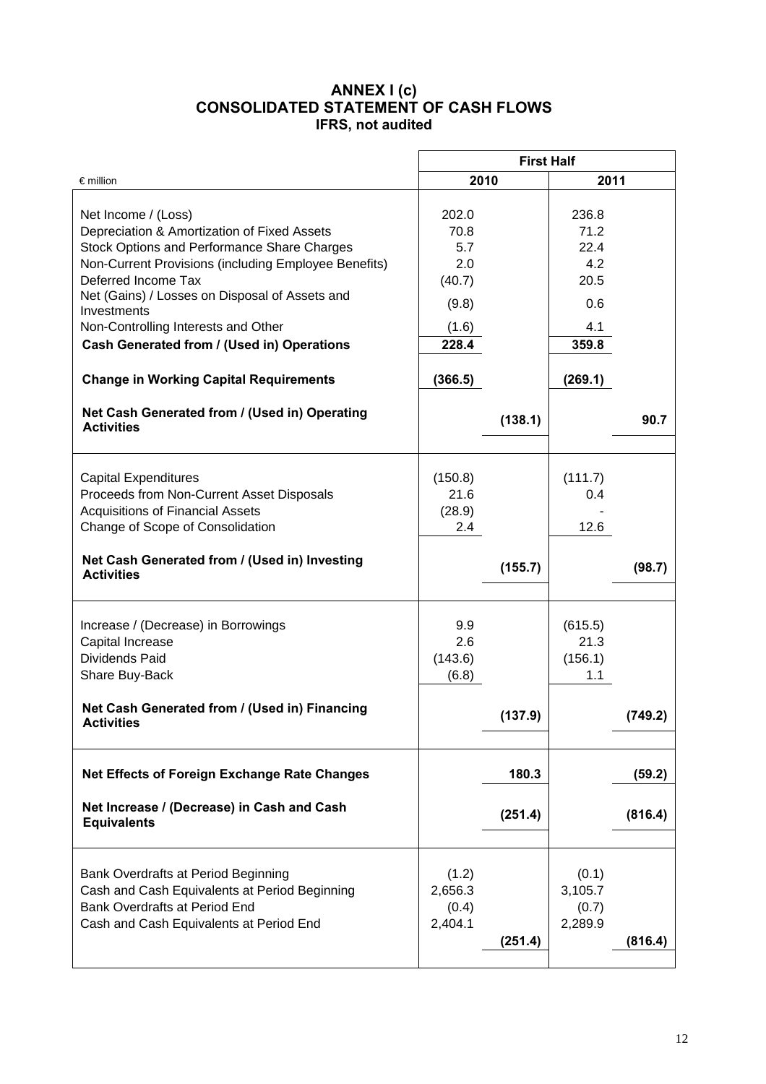### **ANNEX I (c) CONSOLIDATED STATEMENT OF CASH FLOWS IFRS, not audited**

|                                                                  | <b>First Half</b> |         |         |         |  |
|------------------------------------------------------------------|-------------------|---------|---------|---------|--|
| $\epsilon$ million                                               | 2010              |         | 2011    |         |  |
|                                                                  |                   |         |         |         |  |
| Net Income / (Loss)                                              | 202.0             |         | 236.8   |         |  |
| Depreciation & Amortization of Fixed Assets                      | 70.8              |         | 71.2    |         |  |
| Stock Options and Performance Share Charges                      | 5.7               |         | 22.4    |         |  |
| Non-Current Provisions (including Employee Benefits)             | 2.0               |         | 4.2     |         |  |
| Deferred Income Tax                                              | (40.7)            |         | 20.5    |         |  |
| Net (Gains) / Losses on Disposal of Assets and<br>Investments    | (9.8)             |         | 0.6     |         |  |
| Non-Controlling Interests and Other                              | (1.6)             |         | 4.1     |         |  |
| Cash Generated from / (Used in) Operations                       | 228.4             |         | 359.8   |         |  |
|                                                                  |                   |         |         |         |  |
| <b>Change in Working Capital Requirements</b>                    | (366.5)           |         | (269.1) |         |  |
| Net Cash Generated from / (Used in) Operating                    |                   |         |         |         |  |
| <b>Activities</b>                                                |                   | (138.1) |         | 90.7    |  |
|                                                                  |                   |         |         |         |  |
|                                                                  |                   |         |         |         |  |
| <b>Capital Expenditures</b>                                      | (150.8)           |         | (111.7) |         |  |
| Proceeds from Non-Current Asset Disposals                        | 21.6              |         | 0.4     |         |  |
| <b>Acquisitions of Financial Assets</b>                          | (28.9)            |         |         |         |  |
| Change of Scope of Consolidation                                 | 2.4               |         | 12.6    |         |  |
|                                                                  |                   |         |         |         |  |
| Net Cash Generated from / (Used in) Investing                    |                   | (155.7) |         | (98.7)  |  |
| <b>Activities</b>                                                |                   |         |         |         |  |
|                                                                  |                   |         |         |         |  |
| Increase / (Decrease) in Borrowings                              | 9.9               |         | (615.5) |         |  |
| Capital Increase                                                 | 2.6               |         | 21.3    |         |  |
| <b>Dividends Paid</b>                                            | (143.6)           |         | (156.1) |         |  |
| Share Buy-Back                                                   | (6.8)             |         | 1.1     |         |  |
|                                                                  |                   |         |         |         |  |
| Net Cash Generated from / (Used in) Financing                    |                   |         |         |         |  |
| <b>Activities</b>                                                |                   | (137.9) |         | (749.2) |  |
|                                                                  |                   |         |         |         |  |
| <b>Net Effects of Foreign Exchange Rate Changes</b>              |                   | 180.3   |         | (59.2)  |  |
|                                                                  |                   |         |         |         |  |
| Net Increase / (Decrease) in Cash and Cash<br><b>Equivalents</b> |                   | (251.4) |         | (816.4) |  |
|                                                                  |                   |         |         |         |  |
|                                                                  |                   |         |         |         |  |
| Bank Overdrafts at Period Beginning                              | (1.2)             |         | (0.1)   |         |  |
| Cash and Cash Equivalents at Period Beginning                    | 2,656.3           |         | 3,105.7 |         |  |
| <b>Bank Overdrafts at Period End</b>                             | (0.4)             |         | (0.7)   |         |  |
| Cash and Cash Equivalents at Period End                          | 2,404.1           |         | 2,289.9 |         |  |
|                                                                  |                   | (251.4) |         | (816.4) |  |
|                                                                  |                   |         |         |         |  |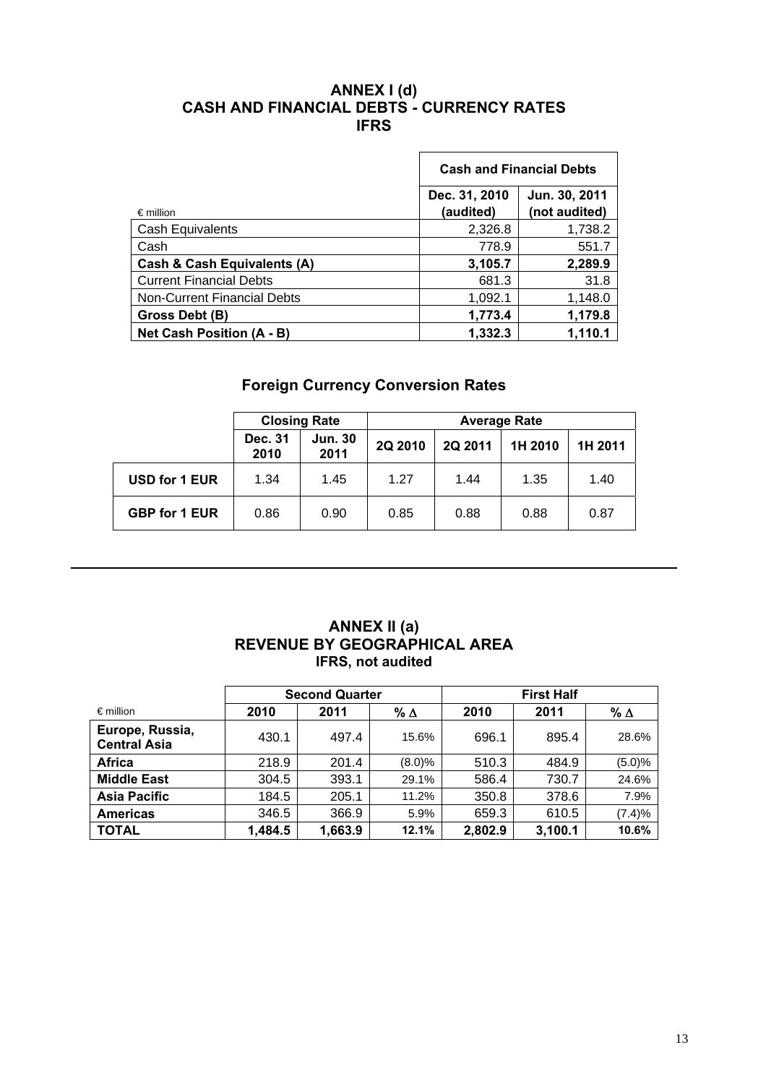## **ANNEX I (d) CASH AND FINANCIAL DEBTS - CURRENCY RATES IFRS**

|                                    | <b>Cash and Financial Debts</b>                              |         |  |  |
|------------------------------------|--------------------------------------------------------------|---------|--|--|
| $\epsilon$ million                 | Jun. 30, 2011<br>Dec. 31, 2010<br>(not audited)<br>(audited) |         |  |  |
| Cash Equivalents                   | 2,326.8                                                      | 1,738.2 |  |  |
| Cash                               | 778.9                                                        | 551.7   |  |  |
| Cash & Cash Equivalents (A)        | 3,105.7                                                      | 2,289.9 |  |  |
| <b>Current Financial Debts</b>     | 681.3                                                        | 31.8    |  |  |
| <b>Non-Current Financial Debts</b> | 1,092.1                                                      | 1,148.0 |  |  |
| Gross Debt (B)                     | 1,773.4                                                      | 1,179.8 |  |  |
| Net Cash Position (A - B)          | 1,332.3                                                      | 1,110.1 |  |  |

# **Foreign Currency Conversion Rates**

|                      | <b>Closing Rate</b> |                        | <b>Average Rate</b> |         |         |         |
|----------------------|---------------------|------------------------|---------------------|---------|---------|---------|
|                      | Dec. 31<br>2010     | <b>Jun. 30</b><br>2011 | 2Q 2010             | 2Q 2011 | 1H 2010 | 1H 2011 |
| USD for 1 EUR        | 1.34                | 1.45                   | 1.27                | 1.44    | 1.35    | 1.40    |
| <b>GBP for 1 EUR</b> | 0.86                | 0.90                   | 0.85                | 0.88    | 0.88    | 0.87    |

# **ANNEX II (a) REVENUE BY GEOGRAPHICAL AREA IFRS, not audited**

|                                        | <b>Second Quarter</b> |         |               |         |         |            |
|----------------------------------------|-----------------------|---------|---------------|---------|---------|------------|
| $\epsilon$ million                     | 2010                  | 2011    | $% \triangle$ | 2010    | 2011    | $% \Delta$ |
| Europe, Russia,<br><b>Central Asia</b> | 430.1                 | 497.4   | 15.6%         | 696.1   | 895.4   | 28.6%      |
| <b>Africa</b>                          | 218.9                 | 201.4   | (8.0)%        | 510.3   | 484.9   | (5.0)%     |
| <b>Middle East</b>                     | 304.5                 | 393.1   | 29.1%         | 586.4   | 730.7   | 24.6%      |
| <b>Asia Pacific</b>                    | 184.5                 | 205.1   | 11.2%         | 350.8   | 378.6   | 7.9%       |
| <b>Americas</b>                        | 346.5                 | 366.9   | 5.9%          | 659.3   | 610.5   | (7.4)%     |
| <b>TOTAL</b>                           | 1,484.5               | 1,663.9 | 12.1%         | 2,802.9 | 3,100.1 | 10.6%      |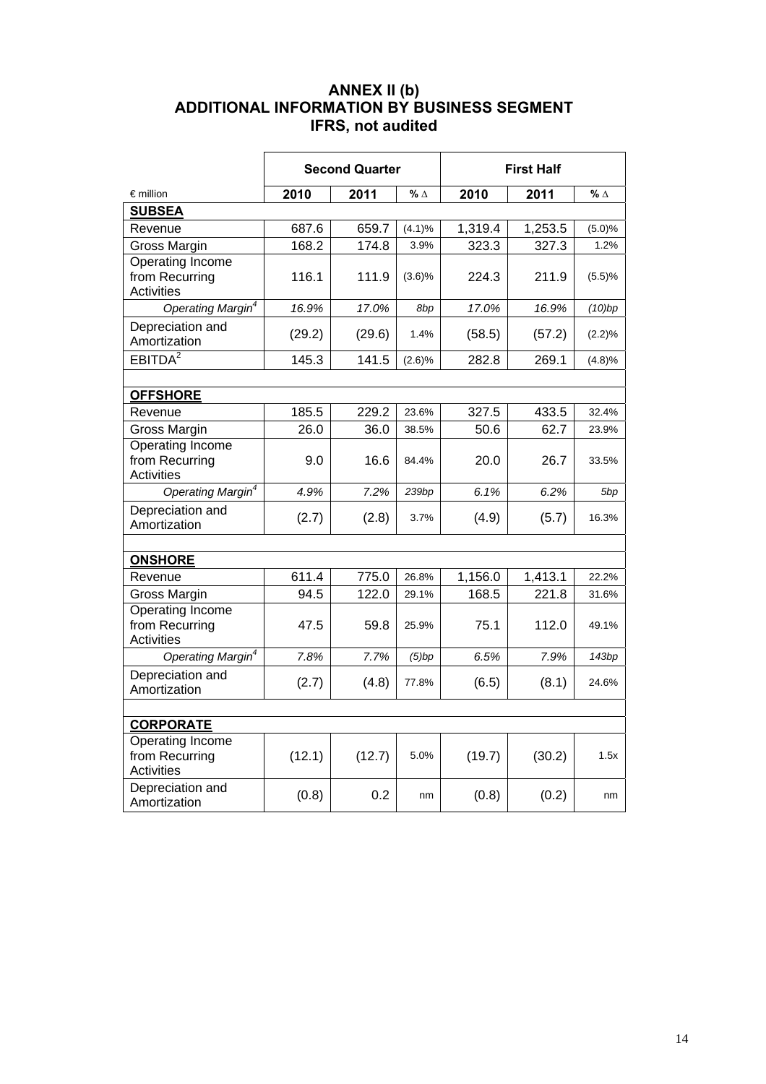# **ANNEX II (b) ADDITIONAL INFORMATION BY BUSINESS SEGMENT IFRS, not audited**

|                                                                | <b>Second Quarter</b> |        |            |         | <b>First Half</b> |            |
|----------------------------------------------------------------|-----------------------|--------|------------|---------|-------------------|------------|
| $\epsilon$ million                                             | 2010                  | 2011   | $% \Delta$ | 2010    | 2011              | % $\Delta$ |
| <b>SUBSEA</b>                                                  |                       |        |            |         |                   |            |
| Revenue                                                        | 687.6                 | 659.7  | (4.1)%     | 1,319.4 | 1,253.5           | (5.0)%     |
| Gross Margin                                                   | 168.2                 | 174.8  | 3.9%       | 323.3   | 327.3             | 1.2%       |
| Operating Income<br>from Recurring<br><b>Activities</b>        | 116.1                 | 111.9  | $(3.6)\%$  | 224.3   | 211.9             | (5.5)%     |
| Operating Margin <sup>4</sup>                                  | 16.9%                 | 17.0%  | 8bp        | 17.0%   | 16.9%             | (10)bp     |
| Depreciation and<br>Amortization                               | (29.2)                | (29.6) | 1.4%       | (58.5)  | (57.2)            | (2.2)%     |
| EBITDA <sup>2</sup>                                            | 145.3                 | 141.5  | (2.6)%     | 282.8   | 269.1             | (4.8)%     |
|                                                                |                       |        |            |         |                   |            |
| <b>OFFSHORE</b>                                                |                       |        |            |         |                   |            |
| Revenue                                                        | 185.5                 | 229.2  | 23.6%      | 327.5   | 433.5             | 32.4%      |
| Gross Margin                                                   | 26.0                  | 36.0   | 38.5%      | 50.6    | 62.7              | 23.9%      |
| Operating Income<br>from Recurring<br><b>Activities</b>        | 9.0                   | 16.6   | 84.4%      | 20.0    | 26.7              | 33.5%      |
| Operating Margin <sup>4</sup>                                  | 4.9%                  | 7.2%   | 239bp      | 6.1%    | 6.2%              | 5bp        |
| Depreciation and<br>Amortization                               | (2.7)                 | (2.8)  | 3.7%       | (4.9)   | (5.7)             | 16.3%      |
|                                                                |                       |        |            |         |                   |            |
| <b>ONSHORE</b>                                                 |                       |        |            |         |                   |            |
| Revenue                                                        | 611.4                 | 775.0  | 26.8%      | 1,156.0 | 1,413.1           | 22.2%      |
| Gross Margin                                                   | 94.5                  | 122.0  | 29.1%      | 168.5   | 221.8             | 31.6%      |
| <b>Operating Income</b><br>from Recurring<br><b>Activities</b> | 47.5                  | 59.8   | 25.9%      | 75.1    | 112.0             | 49.1%      |
| Operating Margin <sup>4</sup>                                  | 7.8%                  | 7.7%   | (5)bp      | 6.5%    | 7.9%              | 143bp      |
| Depreciation and<br>Amortization                               | (2.7)                 | (4.8)  | 77.8%      | (6.5)   | (8.1)             | 24.6%      |
|                                                                |                       |        |            |         |                   |            |
| <b>CORPORATE</b>                                               |                       |        |            |         |                   |            |
| Operating Income<br>from Recurring<br><b>Activities</b>        | (12.1)                | (12.7) | 5.0%       | (19.7)  | (30.2)            | 1.5x       |
| Depreciation and<br>Amortization                               | (0.8)                 | 0.2    | nm         | (0.8)   | (0.2)             | nm         |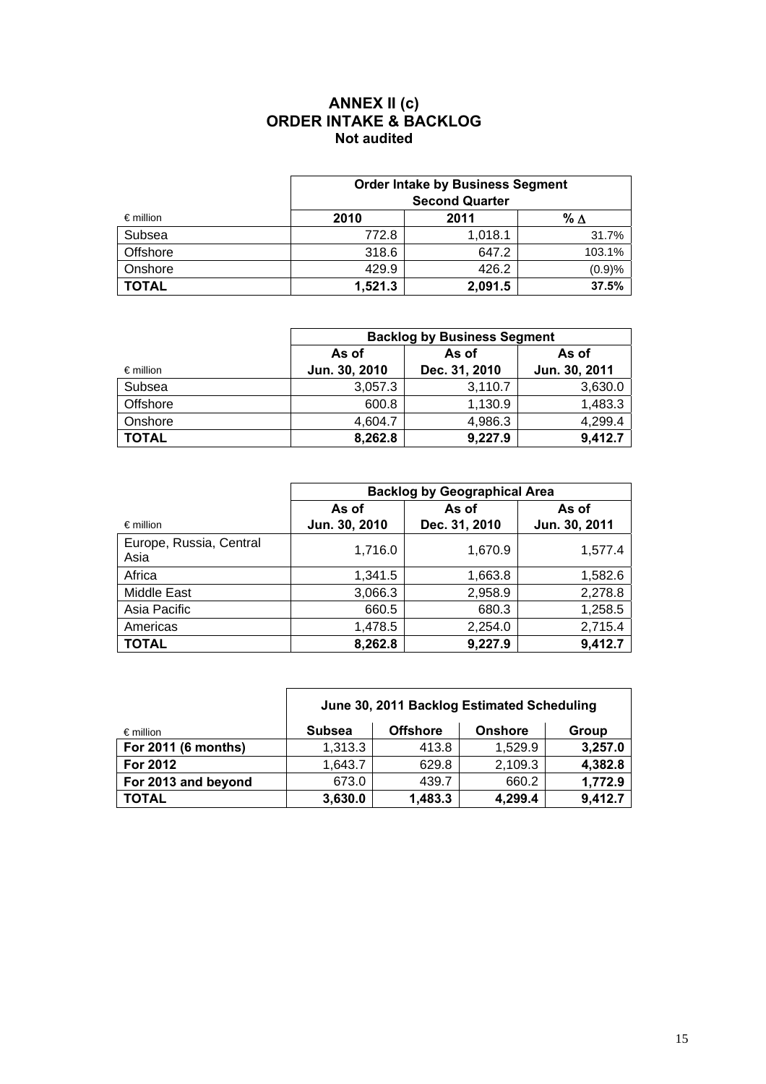### **ANNEX II (c) ORDER INTAKE & BACKLOG Not audited**

|                    | <b>Order Intake by Business Segment</b><br><b>Second Quarter</b> |         |        |  |  |  |
|--------------------|------------------------------------------------------------------|---------|--------|--|--|--|
| $\epsilon$ million | 2011<br>2010<br>% ∆                                              |         |        |  |  |  |
| Subsea             | 772.8                                                            | 1,018.1 | 31.7%  |  |  |  |
| Offshore           | 318.6                                                            | 647.2   | 103.1% |  |  |  |
| Onshore            | 429.9                                                            | 426.2   | (0.9)% |  |  |  |
| <b>TOTAL</b>       | 1,521.3                                                          | 2,091.5 | 37.5%  |  |  |  |

|                    | <b>Backlog by Business Segment</b> |               |               |  |  |
|--------------------|------------------------------------|---------------|---------------|--|--|
|                    | As of                              | As of         |               |  |  |
| $\epsilon$ million | Jun. 30, 2010                      | Dec. 31, 2010 | Jun. 30, 2011 |  |  |
| Subsea             | 3,057.3                            | 3,110.7       | 3,630.0       |  |  |
| Offshore           | 600.8                              | 1,130.9       | 1,483.3       |  |  |
| Onshore            | 4.604.7                            | 4,986.3       | 4,299.4       |  |  |
| <b>TOTAL</b>       | 8,262.8                            | 9,227.9       | 9,412.7       |  |  |

|                                 | <b>Backlog by Geographical Area</b> |               |               |  |  |
|---------------------------------|-------------------------------------|---------------|---------------|--|--|
|                                 | As of                               | As of         | As of         |  |  |
| $\epsilon$ million              | Jun. 30, 2010                       | Dec. 31, 2010 | Jun. 30, 2011 |  |  |
| Europe, Russia, Central<br>Asia | 1,716.0                             | 1,670.9       | 1,577.4       |  |  |
| Africa                          | 1,341.5                             | 1,663.8       | 1,582.6       |  |  |
| Middle East                     | 3,066.3                             | 2,958.9       | 2,278.8       |  |  |
| Asia Pacific                    | 660.5                               | 680.3         | 1,258.5       |  |  |
| Americas                        | 1,478.5                             | 2,254.0       | 2,715.4       |  |  |
| <b>TOTAL</b>                    | 8,262.8                             | 9,227.9       | 9,412.7       |  |  |

|                     | June 30, 2011 Backlog Estimated Scheduling |                 |                |         |  |
|---------------------|--------------------------------------------|-----------------|----------------|---------|--|
| $\epsilon$ million  | <b>Subsea</b>                              | <b>Offshore</b> | <b>Onshore</b> | Group   |  |
| For 2011 (6 months) | 1,313.3                                    | 413.8           | 1,529.9        | 3,257.0 |  |
| For 2012            | 1,643.7                                    | 629.8           | 2,109.3        | 4,382.8 |  |
| For 2013 and beyond | 673.0                                      | 439.7           | 660.2          | 1,772.9 |  |
| <b>TOTAL</b>        | 3,630.0                                    | 1,483.3         | 4,299.4        | 9,412.7 |  |